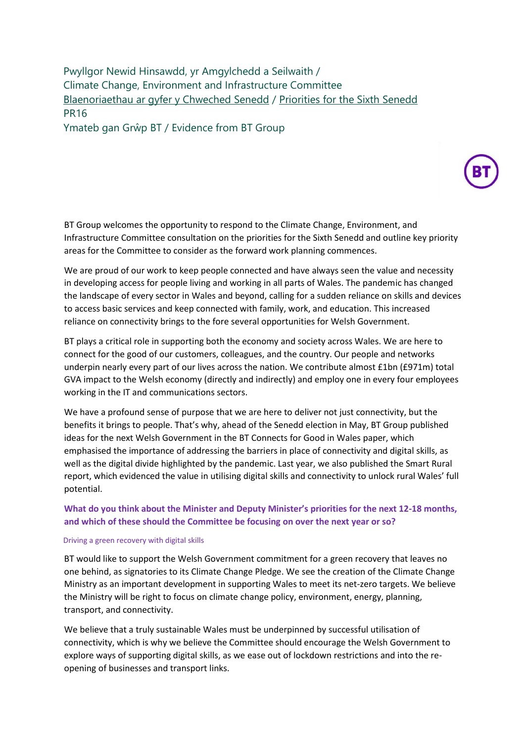Pwyllgor Newid Hinsawdd, yr Amgylchedd a Seilwaith / Climate Change, Environment and Infrastructure Committee [Blaenoriaethau ar gyfer y Chweched Senedd](https://busnes.senedd.cymru/mgConsultationDisplay.aspx?id=427&RPID=1026452002&cp=yes) / Priorities [for the Sixth Senedd](https://business.senedd.wales/mgConsultationDisplay.aspx?id=427&RPID=1026452002&cp=yes) PR16

Ymateb gan Grŵp BT / Evidence from BT Group

BT Group welcomes the opportunity to respond to the Climate Change, Environment, and Infrastructure Committee consultation on the priorities for the Sixth Senedd and outline key priority areas for the Committee to consider as the forward work planning commences.

We are proud of our work to keep people connected and have always seen the value and necessity in developing access for people living and working in all parts of Wales. The pandemic has changed the landscape of every sector in Wales and beyond, calling for a sudden reliance on skills and devices to access basic services and keep connected with family, work, and education. This increased reliance on connectivity brings to the fore several opportunities for Welsh Government.

BT plays a critical role in supporting both the economy and society across Wales. We are here to connect for the good of our customers, colleagues, and the country. Our people and networks underpin nearly every part of our lives across the nation. We contribute almost £1bn (£971m) total GVA impact to the Welsh economy (directly and indirectly) and employ one in every four employees working in the IT and communications sectors.

We have a profound sense of purpose that we are here to deliver not just connectivity, but the benefits it brings to people. That's why, ahead of the Senedd election in May, BT Group published ideas for the next Welsh Government in the BT Connects for Good in Wales paper, which emphasised the importance of addressing the barriers in place of connectivity and digital skills, as well as the digital divide highlighted by the pandemic. Last year, we also published the Smart Rural report, which evidenced the value in utilising digital skills and connectivity to unlock rural Wales' full potential.

# **What do you think about the Minister and Deputy Minister's priorities for the next 12-18 months, and which of these should the Committee be focusing on over the next year or so?**

## Driving a green recovery with digital skills

BT would like to support the Welsh Government commitment for a green recovery that leaves no one behind, as signatories to its Climate Change Pledge. We see the creation of the Climate Change Ministry as an important development in supporting Wales to meet its net-zero targets. We believe the Ministry will be right to focus on climate change policy, environment, energy, planning, transport, and connectivity.

We believe that a truly sustainable Wales must be underpinned by successful utilisation of connectivity, which is why we believe the Committee should encourage the Welsh Government to explore ways of supporting digital skills, as we ease out of lockdown restrictions and into the reopening of businesses and transport links.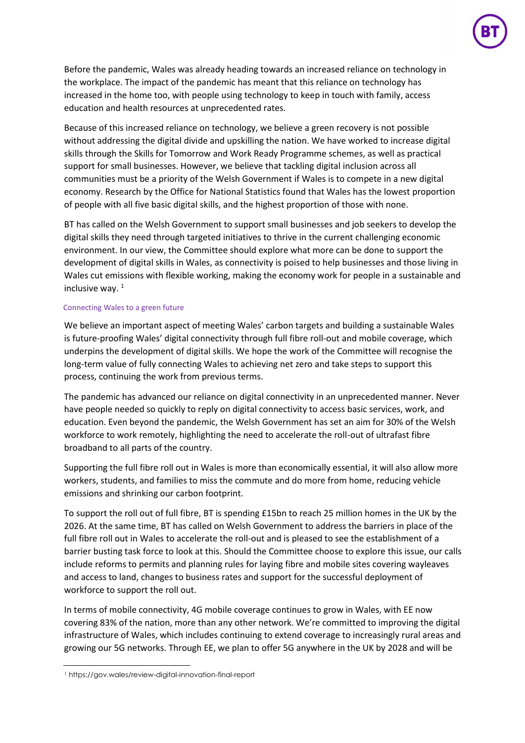

Before the pandemic, Wales was already heading towards an increased reliance on technology in the workplace. The impact of the pandemic has meant that this reliance on technology has increased in the home too, with people using technology to keep in touch with family, access education and health resources at unprecedented rates.

Because of this increased reliance on technology, we believe a green recovery is not possible without addressing the digital divide and upskilling the nation. We have worked to increase digital skills through the Skills for Tomorrow and Work Ready Programme schemes, as well as practical support for small businesses. However, we believe that tackling digital inclusion across all communities must be a priority of the Welsh Government if Wales is to compete in a new digital economy. Research by the Office for National Statistics found that Wales has the lowest proportion of people with all five basic digital skills, and the highest proportion of those with none.

BT has called on the Welsh Government to support small businesses and job seekers to develop the digital skills they need through targeted initiatives to thrive in the current challenging economic environment. In our view, the Committee should explore what more can be done to support the development of digital skills in Wales, as connectivity is poised to help businesses and those living in Wales cut emissions with flexible working, making the economy work for people in a sustainable and inclusive way.  $1$ 

## Connecting Wales to a green future

We believe an important aspect of meeting Wales' carbon targets and building a sustainable Wales is future-proofing Wales' digital connectivity through full fibre roll-out and mobile coverage, which underpins the development of digital skills. We hope the work of the Committee will recognise the long-term value of fully connecting Wales to achieving net zero and take steps to support this process, continuing the work from previous terms.

The pandemic has advanced our reliance on digital connectivity in an unprecedented manner. Never have people needed so quickly to reply on digital connectivity to access basic services, work, and education. Even beyond the pandemic, the Welsh Government has set an aim for 30% of the Welsh workforce to work remotely, highlighting the need to accelerate the roll-out of ultrafast fibre broadband to all parts of the country.

Supporting the full fibre roll out in Wales is more than economically essential, it will also allow more workers, students, and families to miss the commute and do more from home, reducing vehicle emissions and shrinking our carbon footprint.

To support the roll out of full fibre, BT is spending £15bn to reach 25 million homes in the UK by the 2026. At the same time, BT has called on Welsh Government to address the barriers in place of the full fibre roll out in Wales to accelerate the roll-out and is pleased to see the establishment of a barrier busting task force to look at this. Should the Committee choose to explore this issue, our calls include reforms to permits and planning rules for laying fibre and mobile sites covering wayleaves and access to land, changes to business rates and support for the successful deployment of workforce to support the roll out.

In terms of mobile connectivity, 4G mobile coverage continues to grow in Wales, with EE now covering 83% of the nation, more than any other network. We're committed to improving the digital infrastructure of Wales, which includes continuing to extend coverage to increasingly rural areas and growing our 5G networks. Through EE, we plan to offer 5G anywhere in the UK by 2028 and will be

<sup>1</sup> https://gov.wales/review-digital-innovation-final-report